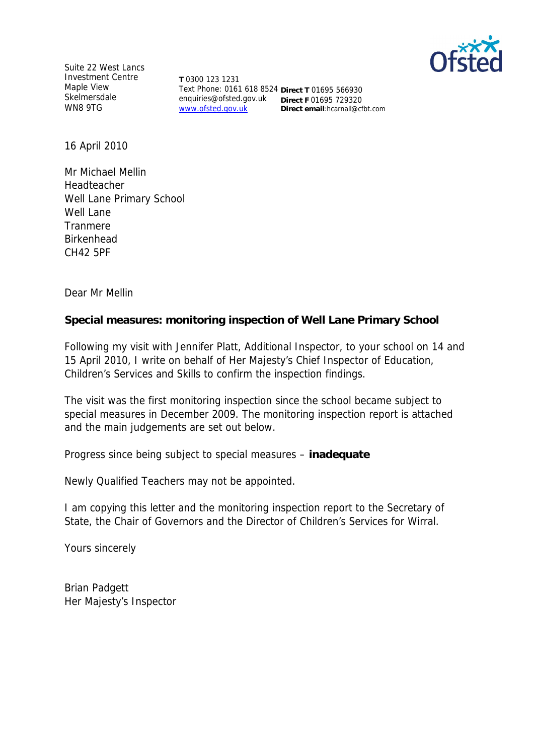

Suite 22 West Lancs Investment Centre Maple View **Skelmersdale** WN8 9TG

**T** 0300 123 1231 Text Phone: 0161 618 8524 **Direct T** 01695 566930 enquiries@ofsted.gov.uk **Direct F** 01695 729320 www.ofsted.gov.uk **Direct email**:hcarnall@cfbt.com

16 April 2010

Mr Michael Mellin Headteacher Well Lane Primary School Well Lane Tranmere Birkenhead CH42 5PF

Dear Mr Mellin

**Special measures: monitoring inspection of Well Lane Primary School**

Following my visit with Jennifer Platt, Additional Inspector, to your school on 14 and 15 April 2010, I write on behalf of Her Majesty's Chief Inspector of Education, Children's Services and Skills to confirm the inspection findings.

The visit was the first monitoring inspection since the school became subject to special measures in December 2009. The monitoring inspection report is attached and the main judgements are set out below.

Progress since being subject to special measures *–* **inadequate**

Newly Qualified Teachers may not be appointed.

I am copying this letter and the monitoring inspection report to the Secretary of State, the Chair of Governors and the Director of Children's Services for Wirral.

Yours sincerely

Brian Padgett Her Majesty's Inspector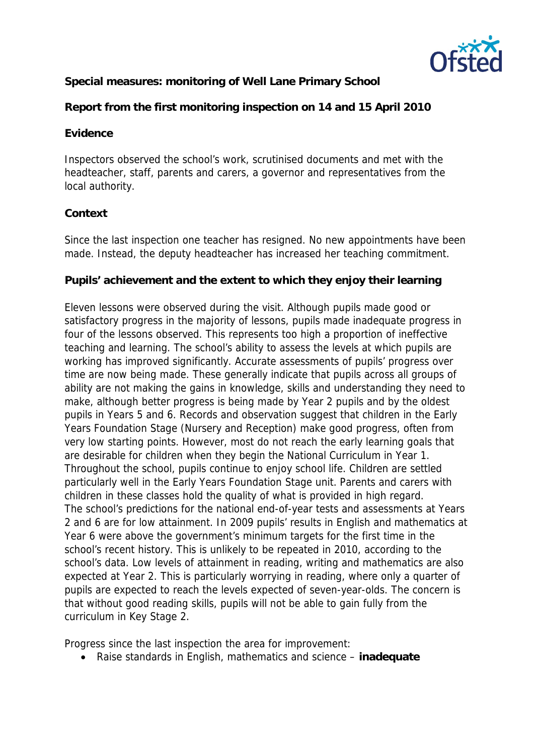

**Special measures: monitoring of Well Lane Primary School**

**Report from the first monitoring inspection on 14 and 15 April 2010**

## **Evidence**

Inspectors observed the school's work, scrutinised documents and met with the headteacher, staff, parents and carers, a governor and representatives from the local authority.

# **Context**

Since the last inspection one teacher has resigned. No new appointments have been made. Instead, the deputy headteacher has increased her teaching commitment.

## **Pupils' achievement and the extent to which they enjoy their learning**

Eleven lessons were observed during the visit. Although pupils made good or satisfactory progress in the majority of lessons, pupils made inadequate progress in four of the lessons observed. This represents too high a proportion of ineffective teaching and learning. The school's ability to assess the levels at which pupils are working has improved significantly. Accurate assessments of pupils' progress over time are now being made. These generally indicate that pupils across all groups of ability are not making the gains in knowledge, skills and understanding they need to make, although better progress is being made by Year 2 pupils and by the oldest pupils in Years 5 and 6. Records and observation suggest that children in the Early Years Foundation Stage (Nursery and Reception) make good progress, often from very low starting points. However, most do not reach the early learning goals that are desirable for children when they begin the National Curriculum in Year 1. Throughout the school, pupils continue to enjoy school life. Children are settled particularly well in the Early Years Foundation Stage unit. Parents and carers with children in these classes hold the quality of what is provided in high regard. The school's predictions for the national end-of-year tests and assessments at Years 2 and 6 are for low attainment. In 2009 pupils' results in English and mathematics at Year 6 were above the government's minimum targets for the first time in the school's recent history. This is unlikely to be repeated in 2010, according to the school's data. Low levels of attainment in reading, writing and mathematics are also expected at Year 2. This is particularly worrying in reading, where only a quarter of pupils are expected to reach the levels expected of seven-year-olds. The concern is that without good reading skills, pupils will not be able to gain fully from the curriculum in Key Stage 2.

Progress since the last inspection the area for improvement:

Raise standards in English, mathematics and science *–* **inadequate**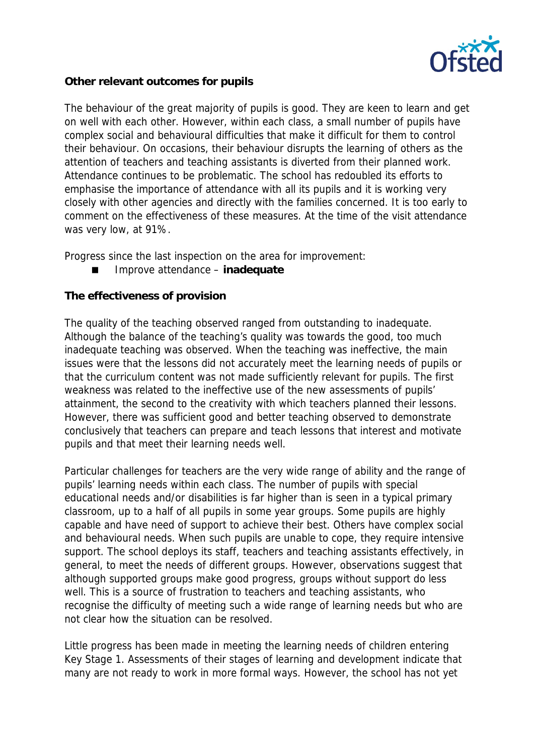

**Other relevant outcomes for pupils**

The behaviour of the great majority of pupils is good. They are keen to learn and get on well with each other. However, within each class, a small number of pupils have complex social and behavioural difficulties that make it difficult for them to control their behaviour. On occasions, their behaviour disrupts the learning of others as the attention of teachers and teaching assistants is diverted from their planned work. Attendance continues to be problematic. The school has redoubled its efforts to emphasise the importance of attendance with all its pupils and it is working very closely with other agencies and directly with the families concerned. It is too early to comment on the effectiveness of these measures. At the time of the visit attendance was very low, at 91%.

Progress since the last inspection on the area for improvement:

Improve attendance *–* **inadequate**

# **The effectiveness of provision**

The quality of the teaching observed ranged from outstanding to inadequate. Although the balance of the teaching's quality was towards the good, too much inadequate teaching was observed. When the teaching was ineffective, the main issues were that the lessons did not accurately meet the learning needs of pupils or that the curriculum content was not made sufficiently relevant for pupils. The first weakness was related to the ineffective use of the new assessments of pupils' attainment, the second to the creativity with which teachers planned their lessons. However, there was sufficient good and better teaching observed to demonstrate conclusively that teachers can prepare and teach lessons that interest and motivate pupils and that meet their learning needs well.

Particular challenges for teachers are the very wide range of ability and the range of pupils' learning needs within each class. The number of pupils with special educational needs and/or disabilities is far higher than is seen in a typical primary classroom, up to a half of all pupils in some year groups. Some pupils are highly capable and have need of support to achieve their best. Others have complex social and behavioural needs. When such pupils are unable to cope, they require intensive support. The school deploys its staff, teachers and teaching assistants effectively, in general, to meet the needs of different groups. However, observations suggest that although supported groups make good progress, groups without support do less well. This is a source of frustration to teachers and teaching assistants, who recognise the difficulty of meeting such a wide range of learning needs but who are not clear how the situation can be resolved.

Little progress has been made in meeting the learning needs of children entering Key Stage 1. Assessments of their stages of learning and development indicate that many are not ready to work in more formal ways. However, the school has not yet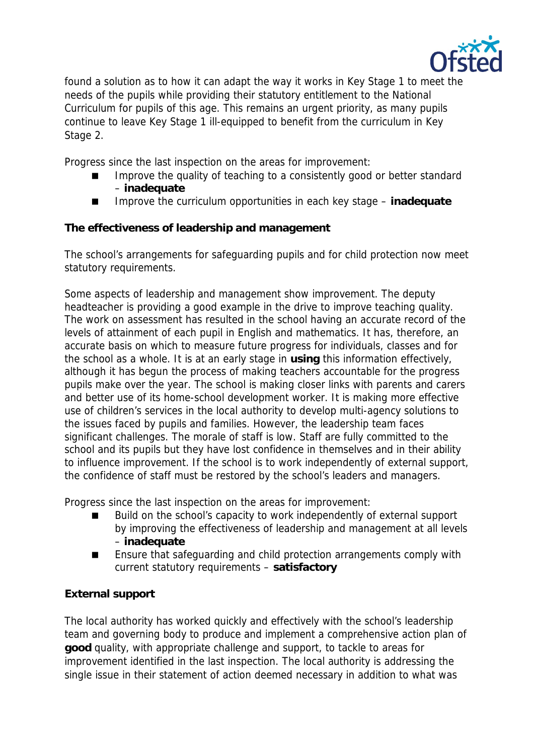

found a solution as to how it can adapt the way it works in Key Stage 1 to meet the needs of the pupils while providing their statutory entitlement to the National Curriculum for pupils of this age. This remains an urgent priority, as many pupils continue to leave Key Stage 1 ill-equipped to benefit from the curriculum in Key Stage 2.

Progress since the last inspection on the areas for improvement:

- Improve the quality of teaching to a consistently good or better standard *–* **inadequate**
- Improve the curriculum opportunities in each key stage inadequate

**The effectiveness of leadership and management**

The school's arrangements for safeguarding pupils and for child protection now meet statutory requirements.

Some aspects of leadership and management show improvement. The deputy headteacher is providing a good example in the drive to improve teaching quality. The work on assessment has resulted in the school having an accurate record of the levels of attainment of each pupil in English and mathematics. It has, therefore, an accurate basis on which to measure future progress for individuals, classes and for the school as a whole. It is at an early stage in **using** this information effectively, although it has begun the process of making teachers accountable for the progress pupils make over the year. The school is making closer links with parents and carers and better use of its home-school development worker. It is making more effective use of children's services in the local authority to develop multi-agency solutions to the issues faced by pupils and families. However, the leadership team faces significant challenges. The morale of staff is low. Staff are fully committed to the school and its pupils but they have lost confidence in themselves and in their ability to influence improvement. If the school is to work independently of external support, the confidence of staff must be restored by the school's leaders and managers.

Progress since the last inspection on the areas for improvement:

- Build on the school's capacity to work independently of external support by improving the effectiveness of leadership and management at all levels *–* **inadequate**
- Ensure that safeguarding and child protection arrangements comply with current statutory requirements *–* **satisfactory**

## **External support**

The local authority has worked quickly and effectively with the school's leadership team and governing body to produce and implement a comprehensive action plan of **good** quality, with appropriate challenge and support, to tackle to areas for improvement identified in the last inspection. The local authority is addressing the single issue in their statement of action deemed necessary in addition to what was